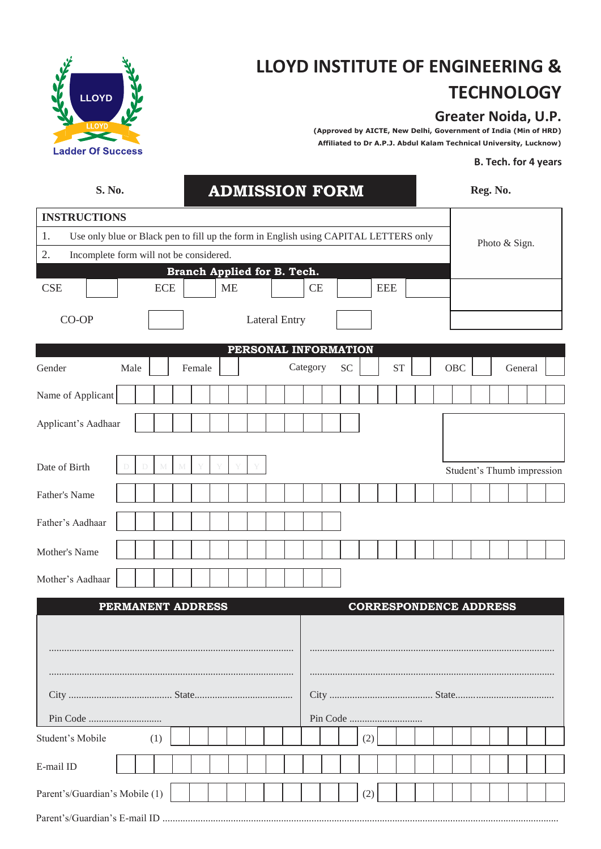

## **LLOYD INSTITUTE OF ENGINEERING & TECHNOLOGY**

## **Greater Noida, U.P.**

**(Approved by AICTE, New Delhi, Government of India (Min of HRD) Affiliated to Dr A.P.J. Abdul Kalam Technical University, Lucknow)**

## **B. Tech. for 4 years**

| S. No.                                                                                     |                          |  |            |  |               |           |                      |  |                             | <b>ADMISSION FORM</b> |     |            |           |  |                               | Reg. No. |  |         |  |  |
|--------------------------------------------------------------------------------------------|--------------------------|--|------------|--|---------------|-----------|----------------------|--|-----------------------------|-----------------------|-----|------------|-----------|--|-------------------------------|----------|--|---------|--|--|
| <b>INSTRUCTIONS</b>                                                                        |                          |  |            |  |               |           |                      |  |                             |                       |     |            |           |  |                               |          |  |         |  |  |
| 1.<br>Use only blue or Black pen to fill up the form in English using CAPITAL LETTERS only |                          |  |            |  | Photo & Sign. |           |                      |  |                             |                       |     |            |           |  |                               |          |  |         |  |  |
| 2.<br>Incomplete form will not be considered.                                              |                          |  |            |  |               |           |                      |  |                             |                       |     |            |           |  |                               |          |  |         |  |  |
|                                                                                            |                          |  |            |  |               |           |                      |  | Branch Applied for B. Tech. |                       |     |            |           |  |                               |          |  |         |  |  |
| <b>CSE</b>                                                                                 |                          |  | <b>ECE</b> |  |               | <b>ME</b> |                      |  | <b>CE</b>                   |                       |     | <b>EEE</b> |           |  |                               |          |  |         |  |  |
| CO-OP                                                                                      |                          |  |            |  |               |           | <b>Lateral Entry</b> |  |                             |                       |     |            |           |  |                               |          |  |         |  |  |
|                                                                                            |                          |  |            |  |               |           |                      |  |                             | PERSONAL INFORMATION  |     |            |           |  |                               |          |  |         |  |  |
| Gender                                                                                     | Male                     |  |            |  | Female        |           |                      |  | Category                    | <b>SC</b>             |     |            | <b>ST</b> |  | OBC                           |          |  | General |  |  |
| Name of Applicant                                                                          |                          |  |            |  |               |           |                      |  |                             |                       |     |            |           |  |                               |          |  |         |  |  |
| Applicant's Aadhaar                                                                        |                          |  |            |  |               |           |                      |  |                             |                       |     |            |           |  |                               |          |  |         |  |  |
|                                                                                            |                          |  |            |  |               |           |                      |  |                             |                       |     |            |           |  |                               |          |  |         |  |  |
| Date of Birth                                                                              |                          |  |            |  |               |           |                      |  |                             |                       |     |            |           |  | Student's Thumb impression    |          |  |         |  |  |
| Father's Name                                                                              |                          |  |            |  |               |           |                      |  |                             |                       |     |            |           |  |                               |          |  |         |  |  |
| Father's Aadhaar                                                                           |                          |  |            |  |               |           |                      |  |                             |                       |     |            |           |  |                               |          |  |         |  |  |
| Mother's Name                                                                              |                          |  |            |  |               |           |                      |  |                             |                       |     |            |           |  |                               |          |  |         |  |  |
| Mother's Aadhaar                                                                           |                          |  |            |  |               |           |                      |  |                             |                       |     |            |           |  |                               |          |  |         |  |  |
|                                                                                            | <b>PERMANENT ADDRESS</b> |  |            |  |               |           |                      |  |                             |                       |     |            |           |  | <b>CORRESPONDENCE ADDRESS</b> |          |  |         |  |  |
|                                                                                            |                          |  |            |  |               |           |                      |  |                             |                       |     |            |           |  |                               |          |  |         |  |  |
|                                                                                            |                          |  |            |  |               |           |                      |  |                             |                       |     |            |           |  |                               |          |  |         |  |  |
|                                                                                            |                          |  |            |  |               |           |                      |  |                             |                       |     |            |           |  |                               |          |  |         |  |  |
| Student's Mobile                                                                           |                          |  | (1)        |  |               |           |                      |  |                             |                       | (2) |            |           |  |                               |          |  |         |  |  |
| E-mail ID                                                                                  |                          |  |            |  |               |           |                      |  |                             |                       |     |            |           |  |                               |          |  |         |  |  |
| Parent's/Guardian's Mobile (1)                                                             |                          |  |            |  |               |           |                      |  |                             |                       | (2) |            |           |  |                               |          |  |         |  |  |
|                                                                                            |                          |  |            |  |               |           |                      |  |                             |                       |     |            |           |  |                               |          |  |         |  |  |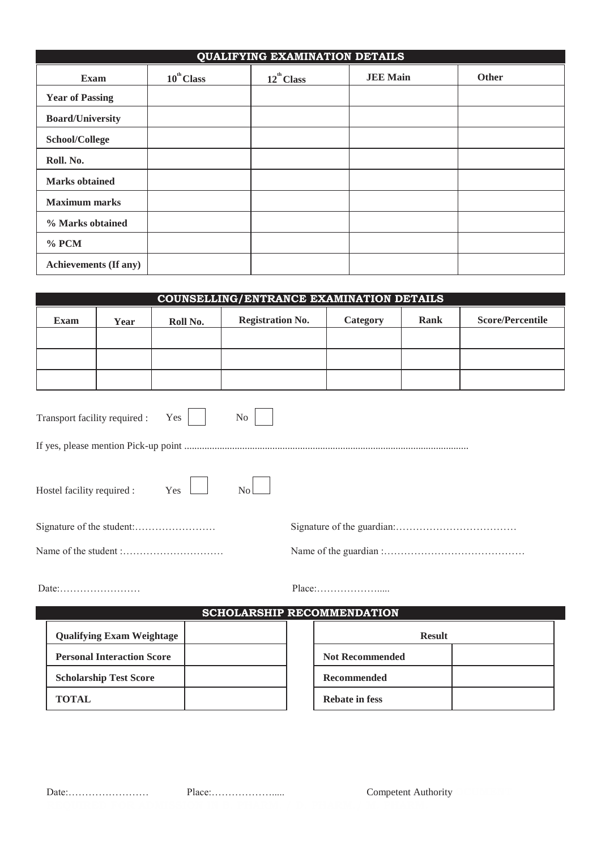|                              |                        | <b>QUALIFYING EXAMINATION DETAILS</b> |                 |              |
|------------------------------|------------------------|---------------------------------------|-----------------|--------------|
| <b>Exam</b>                  | $10^{\text{th}}$ Class | $12^{\text{th}}$ Class                | <b>JEE Main</b> | <b>Other</b> |
| <b>Year of Passing</b>       |                        |                                       |                 |              |
| <b>Board/University</b>      |                        |                                       |                 |              |
| School/College               |                        |                                       |                 |              |
| Roll. No.                    |                        |                                       |                 |              |
| <b>Marks</b> obtained        |                        |                                       |                 |              |
| <b>Maximum marks</b>         |                        |                                       |                 |              |
| % Marks obtained             |                        |                                       |                 |              |
| $%$ PCM                      |                        |                                       |                 |              |
| <b>Achievements (If any)</b> |                        |                                       |                 |              |

| <b>COUNSELLING/ENTRANCE EXAMINATION DETAILS</b> |                                   |          |                                   |  |                        |               |                         |
|-------------------------------------------------|-----------------------------------|----------|-----------------------------------|--|------------------------|---------------|-------------------------|
| <b>Exam</b>                                     | Year                              | Roll No. | <b>Registration No.</b>           |  | Category               | Rank          | <b>Score/Percentile</b> |
|                                                 |                                   |          |                                   |  |                        |               |                         |
|                                                 |                                   |          |                                   |  |                        |               |                         |
|                                                 |                                   |          |                                   |  |                        |               |                         |
| Transport facility required :                   |                                   | Yes      | N <sub>o</sub>                    |  |                        |               |                         |
|                                                 |                                   |          |                                   |  |                        |               |                         |
| Hostel facility required :                      |                                   | Yes      | $\overline{N_{0}}$                |  |                        |               |                         |
|                                                 |                                   |          |                                   |  |                        |               |                         |
|                                                 |                                   |          |                                   |  |                        |               |                         |
|                                                 |                                   |          | <b>SCHOLARSHIP RECOMMENDATION</b> |  | Place:                 |               |                         |
|                                                 | <b>Qualifying Exam Weightage</b>  |          |                                   |  |                        | <b>Result</b> |                         |
|                                                 | <b>Personal Interaction Score</b> |          |                                   |  | <b>Not Recommended</b> |               |                         |
|                                                 | <b>Scholarship Test Score</b>     |          |                                   |  | Recommended            |               |                         |
| <b>TOTAL</b>                                    |                                   |          |                                   |  | <b>Rebate in fess</b>  |               |                         |

Date:…………………… Place:………………..... Competent Authority **OCUMENT**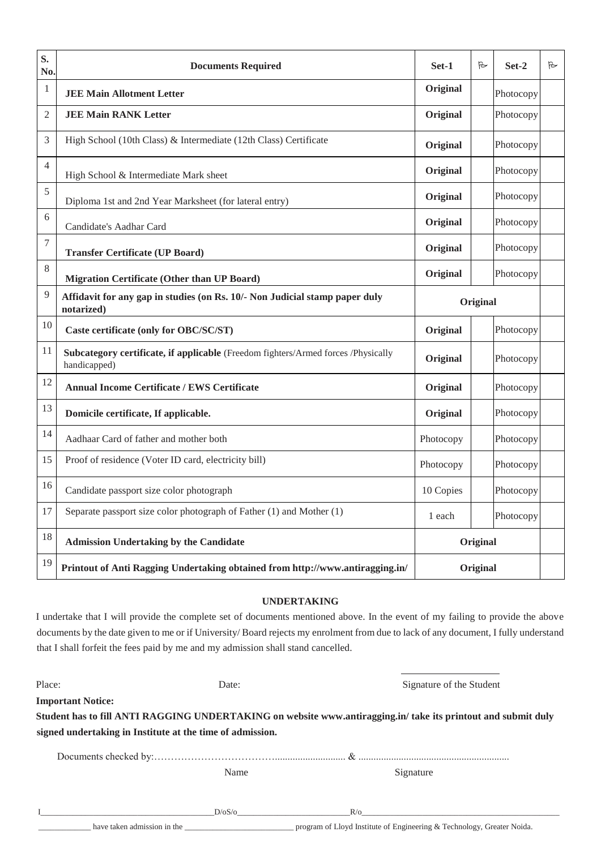| S.<br>No.      | <b>Documents Required</b>                                                                         | Set-1     | R        | Set-2     | B |
|----------------|---------------------------------------------------------------------------------------------------|-----------|----------|-----------|---|
| 1              | <b>JEE Main Allotment Letter</b>                                                                  | Original  |          | Photocopy |   |
| $\mathfrak{2}$ | <b>JEE Main RANK Letter</b>                                                                       | Original  |          | Photocopy |   |
| 3              | High School (10th Class) & Intermediate (12th Class) Certificate                                  | Original  |          | Photocopy |   |
| $\overline{4}$ | High School & Intermediate Mark sheet                                                             | Original  |          | Photocopy |   |
| 5              | Diploma 1st and 2nd Year Marksheet (for lateral entry)                                            | Original  |          | Photocopy |   |
| 6              | Candidate's Aadhar Card                                                                           | Original  |          | Photocopy |   |
| 7              | <b>Transfer Certificate (UP Board)</b>                                                            | Original  |          | Photocopy |   |
| 8              | <b>Migration Certificate (Other than UP Board)</b>                                                | Original  |          | Photocopy |   |
| 9              | Affidavit for any gap in studies (on Rs. 10/- Non Judicial stamp paper duly<br>notarized)         | Original  |          |           |   |
| 10             | Caste certificate (only for OBC/SC/ST)                                                            | Original  |          | Photocopy |   |
| 11             | Subcategory certificate, if applicable (Freedom fighters/Armed forces /Physically<br>handicapped) | Original  |          | Photocopy |   |
| 12             | <b>Annual Income Certificate / EWS Certificate</b>                                                | Original  |          | Photocopy |   |
| 13             | Domicile certificate, If applicable.                                                              | Original  |          | Photocopy |   |
| 14             | Aadhaar Card of father and mother both                                                            | Photocopy |          | Photocopy |   |
| 15             | Proof of residence (Voter ID card, electricity bill)                                              | Photocopy |          | Photocopy |   |
| 16             | Candidate passport size color photograph                                                          | 10 Copies |          | Photocopy |   |
| 17             | Separate passport size color photograph of Father (1) and Mother (1)                              | 1 each    |          | Photocopy |   |
| 18             | <b>Admission Undertaking by the Candidate</b>                                                     |           | Original |           |   |
| 19             | Printout of Anti Ragging Undertaking obtained from http://www.antiragging.in/                     |           | Original |           |   |

## **UNDERTAKING**

I undertake that I will provide the complete set of documents mentioned above. In the event of my failing to provide the above documents by the date given to me or if University/ Board rejects my enrolment from due to lack of any document, I fully understand that I shall forfeit the fees paid by me and my admission shall stand cancelled.

| Place:                                                    | Date:  | Signature of the Student                                                                                     |
|-----------------------------------------------------------|--------|--------------------------------------------------------------------------------------------------------------|
| <b>Important Notice:</b>                                  |        |                                                                                                              |
|                                                           |        | Student has to fill ANTI RAGGING UNDERTAKING on website www.antiragging.in/take its printout and submit duly |
| signed undertaking in Institute at the time of admission. |        |                                                                                                              |
|                                                           |        |                                                                                                              |
|                                                           | Name   | Signature                                                                                                    |
|                                                           |        |                                                                                                              |
|                                                           | D/OS/O | $R/\sigma$                                                                                                   |

\_\_\_\_\_\_\_\_\_\_\_\_\_ have taken admission in the \_\_\_\_\_\_\_\_\_\_\_\_\_\_\_\_\_\_\_\_\_\_\_\_\_\_\_ program of Lloyd Institute of Engineering & Technology, Greater Noida.